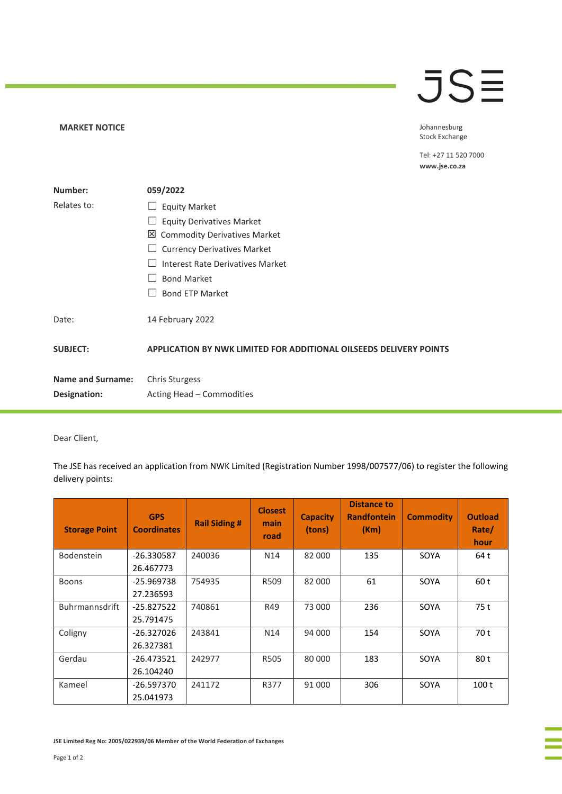## **JSE**

## **MARKET NOTICE**

Johannesburg **Stock Exchange** 

Tel: +27 11 520 7000 www.jse.co.za

| Number:                  | 059/2022                                                                  |
|--------------------------|---------------------------------------------------------------------------|
| Relates to:              | <b>Equity Market</b><br>ப                                                 |
|                          | <b>Equity Derivatives Market</b>                                          |
|                          | 凶 Commodity Derivatives Market                                            |
|                          | <b>Currency Derivatives Market</b>                                        |
|                          | Interest Rate Derivatives Market                                          |
|                          | <b>Bond Market</b>                                                        |
|                          | <b>Bond ETP Market</b>                                                    |
| Date:                    | 14 February 2022                                                          |
| <b>SUBJECT:</b>          | <b>APPLICATION BY NWK LIMITED FOR ADDITIONAL OILSEEDS DELIVERY POINTS</b> |
| <b>Name and Surname:</b> | <b>Chris Sturgess</b>                                                     |
| Designation:             | Acting Head - Commodities                                                 |

Dear Client,

The JSE has received an application from NWK Limited (Registration Number 1998/007577/06) to register the following delivery points:

| <b>Storage Point</b>  | <b>GPS</b><br><b>Coordinates</b> | <b>Rail Siding #</b> | <b>Closest</b><br>main<br>road | <b>Capacity</b><br>(tons) | <b>Distance to</b><br><b>Randfontein</b><br>(Km) | <b>Commodity</b> | <b>Outload</b><br>Rate/<br>hour |
|-----------------------|----------------------------------|----------------------|--------------------------------|---------------------------|--------------------------------------------------|------------------|---------------------------------|
| <b>Bodenstein</b>     | -26.330587                       | 240036               | N <sub>14</sub>                | 82 000                    | 135                                              | SOYA             | 64 t                            |
|                       | 26.467773                        |                      |                                |                           |                                                  |                  |                                 |
| <b>Boons</b>          | -25.969738                       | 754935               | R509                           | 82 000                    | 61                                               | SOYA             | 60 t                            |
|                       | 27.236593                        |                      |                                |                           |                                                  |                  |                                 |
| <b>Buhrmannsdrift</b> | $-25.827522$                     | 740861               | R49                            | 73 000                    | 236                                              | SOYA             | 75 t                            |
|                       | 25.791475                        |                      |                                |                           |                                                  |                  |                                 |
| Coligny               | -26.327026                       | 243841               | N <sub>14</sub>                | 94 000                    | 154                                              | SOYA             | 70 t                            |
|                       | 26.327381                        |                      |                                |                           |                                                  |                  |                                 |
| Gerdau                | -26.473521                       | 242977               | R505                           | 80 000                    | 183                                              | SOYA             | 80 t                            |
|                       | 26.104240                        |                      |                                |                           |                                                  |                  |                                 |
| Kameel                | $-26.597370$                     | 241172               | R377                           | 91 000                    | 306                                              | SOYA             | 100 t                           |
|                       | 25.041973                        |                      |                                |                           |                                                  |                  |                                 |